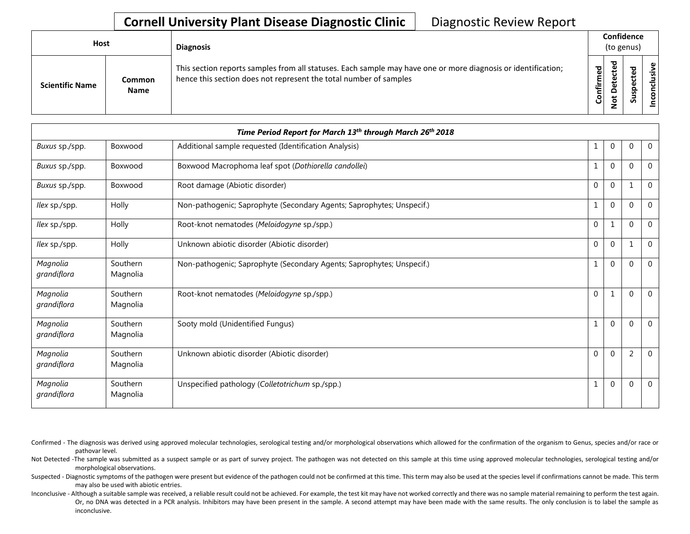## **Cornell University Plant Disease Diagnostic Clinic** | Diagnostic Review Report

| Host                   |                       | <b>Diagnosis</b>                                                                                                                                                                   |           | Confidence<br>(to genus)          |        |             |
|------------------------|-----------------------|------------------------------------------------------------------------------------------------------------------------------------------------------------------------------------|-----------|-----------------------------------|--------|-------------|
| <b>Scientific Name</b> | Common<br><b>Name</b> | This section reports samples from all statuses. Each sample may have one or more diagnosis or identification;<br>hence this section does not represent the total number of samples | Confirmed | ъ<br>ن<br>ω<br>یو<br>≏<br>ىپ<br>⇁ | ਠ<br>ທ | usive<br>᠊ᠣ |

| Time Period Report for March 13th through March 26th 2018 |                      |                                                                       |              |              |              |             |  |
|-----------------------------------------------------------|----------------------|-----------------------------------------------------------------------|--------------|--------------|--------------|-------------|--|
| Buxus sp./spp.                                            | Boxwood              | Additional sample requested (Identification Analysis)                 | 1            | $\mathbf{0}$ | $\mathbf 0$  | $\mathbf 0$ |  |
| Buxus sp./spp.                                            | Boxwood              | Boxwood Macrophoma leaf spot (Dothiorella candollei)                  | 1            | $\mathbf{0}$ | $\Omega$     | $\Omega$    |  |
| Buxus sp./spp.                                            | Boxwood              | Root damage (Abiotic disorder)                                        | $\mathbf{0}$ | $\mathbf{0}$ | $\mathbf{1}$ | $\Omega$    |  |
| llex sp./spp.                                             | Holly                | Non-pathogenic; Saprophyte (Secondary Agents; Saprophytes; Unspecif.) | 1            | $\mathbf{0}$ | $\mathbf 0$  | $\Omega$    |  |
| llex sp./spp.                                             | Holly                | Root-knot nematodes (Meloidogyne sp./spp.)                            | $\mathbf{0}$ | 1            | $\Omega$     | $\Omega$    |  |
| llex sp./spp.                                             | Holly                | Unknown abiotic disorder (Abiotic disorder)                           | $\pmb{0}$    | $\mathbf{0}$ | $\mathbf{1}$ | $\Omega$    |  |
| Magnolia<br>grandiflora                                   | Southern<br>Magnolia | Non-pathogenic; Saprophyte (Secondary Agents; Saprophytes; Unspecif.) | 1            | $\mathbf{0}$ | $\Omega$     | $\Omega$    |  |
| Magnolia<br>grandiflora                                   | Southern<br>Magnolia | Root-knot nematodes (Meloidogyne sp./spp.)                            | $\mathbf 0$  |              | $\Omega$     | $\Omega$    |  |
| Magnolia<br>grandiflora                                   | Southern<br>Magnolia | Sooty mold (Unidentified Fungus)                                      | 1            | $\mathbf{0}$ | $\mathbf 0$  | $\mathbf 0$ |  |
| Magnolia<br>grandiflora                                   | Southern<br>Magnolia | Unknown abiotic disorder (Abiotic disorder)                           | $\mathbf 0$  | $\mathbf{0}$ | 2            | $\Omega$    |  |
| Magnolia<br>grandiflora                                   | Southern<br>Magnolia | Unspecified pathology (Colletotrichum sp./spp.)                       | 1            | $\mathbf{0}$ | $\mathbf 0$  | $\Omega$    |  |

Confirmed - The diagnosis was derived using approved molecular technologies, serological testing and/or morphological observations which allowed for the confirmation of the organism to Genus, species and/or race or pathovar level.

Not Detected -The sample was submitted as a suspect sample or as part of survey project. The pathogen was not detected on this sample at this time using approved molecular technologies, serological testing and/or morphological observations.

Suspected - Diagnostic symptoms of the pathogen were present but evidence of the pathogen could not be confirmed at this time. This term may also be used at the species level if confirmations cannot be made. This term may also be used with abiotic entries.

Inconclusive - Although a suitable sample was received, a reliable result could not be achieved. For example, the test kit may have not worked correctly and there was no sample material remaining to perform the test again. Or, no DNA was detected in a PCR analysis. Inhibitors may have been present in the sample. A second attempt may have been made with the same results. The only conclusion is to label the sample as inconclusive.